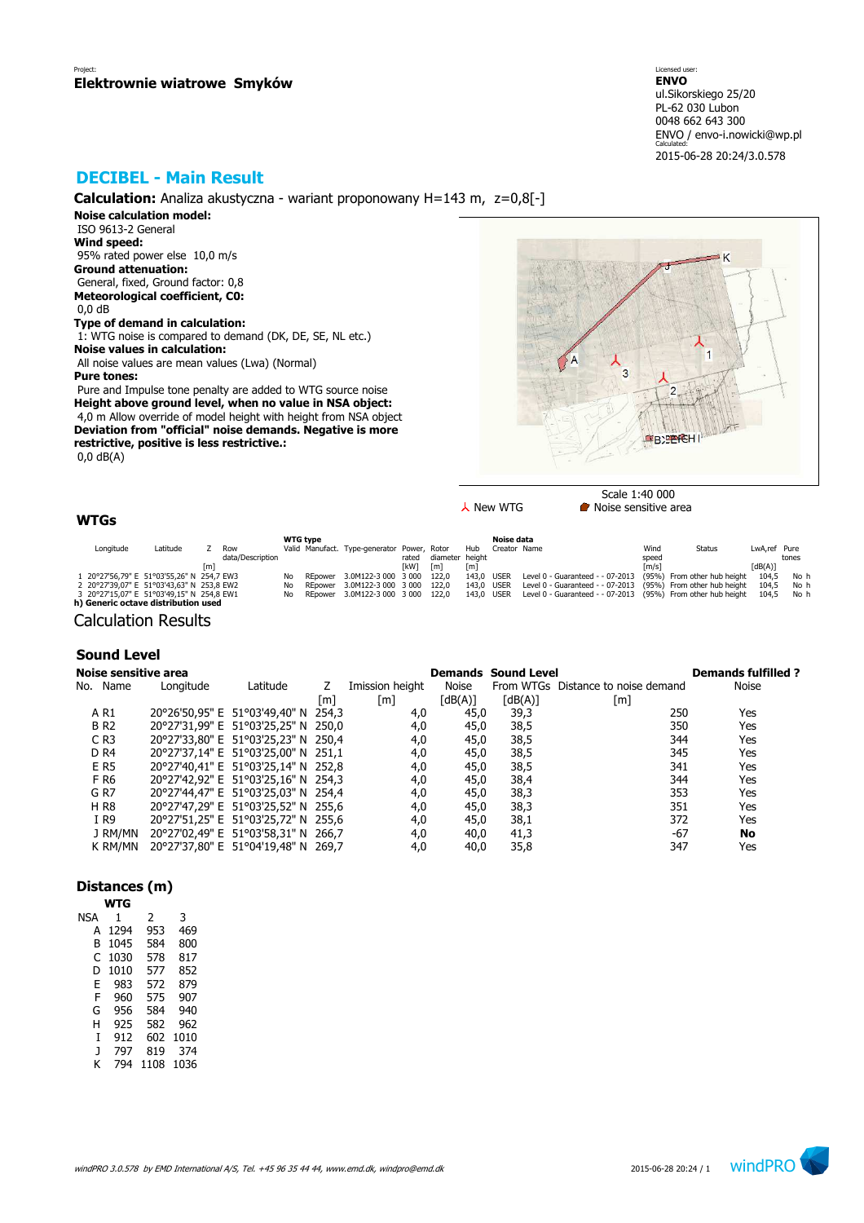# **DECIBEL - Main Result**

**Calculation:** Analiza akustyczna - wariant proponowany H=143 m, z=0,8[-]

**Noise calculation model:** ISO 9613-2 General **Wind speed:** 95% rated power else 10,0 m/s **Ground attenuation:** General, fixed, Ground factor: 0,8 **Meteorological coefficient, C0:** 0,0 dB **Type of demand in calculation:**

 1: WTG noise is compared to demand (DK, DE, SE, NL etc.) **Noise values in calculation:** All noise values are mean values (Lwa) (Normal)

**Pure tones:**

 Pure and Impulse tone penalty are added to WTG source noise **Height above ground level, when no value in NSA object:** 4,0 m Allow override of model height with height from NSA object **Deviation from "official" noise demands. Negative is more restrictive, positive is less restrictive.:** 0,0 dB(A)



 $\lambda$  New WTG **Noise** sensitive area

## **WTGs**

|           |                                           |     |                  |     | <b>WTG type</b> |                                             |            |                 |            | Noise data   |                                                                         |                     |                             |              |       |
|-----------|-------------------------------------------|-----|------------------|-----|-----------------|---------------------------------------------|------------|-----------------|------------|--------------|-------------------------------------------------------------------------|---------------------|-----------------------------|--------------|-------|
| Longitude | Latitude                                  |     | Row              |     |                 | Valid Manufact, Type-generator Power, Rotor |            |                 | Hub        | Creator Name |                                                                         | Wind                | <b>Status</b>               | LwA.ref Pure |       |
|           |                                           |     | data/Description |     |                 |                                             | rated      | diameter height |            |              |                                                                         | speed               |                             |              | tones |
|           |                                           | [m] |                  |     |                 |                                             | <b>TkW</b> | [m]             | [m]        |              |                                                                         | $\lceil m/s \rceil$ |                             | [dB(A)]      |       |
|           | 1 20°27'56,79" E 51°03'55,26" N 254,7 EW3 |     |                  | No  |                 | REpower 3.0M122-3 000 3 000                 |            | 122.0           | 143.0 USER |              | Level 0 - Guaranteed - - 07-2013                                        |                     | (95%) From other hub height | 104.5        | No h  |
|           | 2 20°27'39,07" E 51°03'43,63" N 253,8 EW2 |     |                  | No  |                 | REpower 3.0M122-3 000 3 000 122.0           |            |                 | 143.0 USER |              | Level 0 - Guaranteed - - 07-2013 (95%) From other hub height            |                     |                             | 104.5        | No h  |
|           | 3 20°27'15,07" E 51°03'49,15" N 254,8 EW1 |     |                  | No. |                 | REpower 3.0M122-3 000 3 000 122.0           |            |                 |            |              | 143,0 USER Level 0 - Guaranteed - - 07-2013 (95%) From other hub height |                     |                             | 104.5        | No h  |
|           | h) Generic octave distribution used       |     |                  |     |                 |                                             |            |                 |            |              |                                                                         |                     |                             |              |       |

Calculation Results

### **Sound Level**

| Noise sensitive area |           |                                     |     |                 |         | <b>Demands Sound Level</b> |                                    | <b>Demands fulfilled?</b> |
|----------------------|-----------|-------------------------------------|-----|-----------------|---------|----------------------------|------------------------------------|---------------------------|
| No. Name             | Longitude | Latitude                            |     | Imission height | Noise   |                            | From WTGs Distance to noise demand | Noise                     |
|                      |           |                                     | [m] | [m]             | [dB(A)] | [dB(A)]                    | [m]                                |                           |
| A R1                 |           | 20°26'50,95" E 51°03'49,40" N 254,3 |     | 4,0             | 45,0    | 39,3                       | 250                                | Yes                       |
| <b>BR2</b>           |           | 20°27'31,99" E 51°03'25,25" N 250,0 |     | 4,0             | 45,0    | 38,5                       | 350                                | Yes                       |
| $C$ R <sub>3</sub>   |           | 20°27'33,80" E 51°03'25,23" N 250,4 |     | 4,0             | 45,0    | 38,5                       | 344                                | Yes                       |
| D <sub>R4</sub>      |           | 20°27'37,14" E 51°03'25,00" N 251,1 |     | 4,0             | 45,0    | 38,5                       | 345                                | Yes                       |
| E R5                 |           | 20°27'40,41" E 51°03'25,14" N 252,8 |     | 4,0             | 45,0    | 38,5                       | 341                                | Yes                       |
| F R6                 |           | 20°27'42,92" E 51°03'25,16" N 254,3 |     | 4,0             | 45,0    | 38,4                       | 344                                | Yes                       |
| G R7                 |           | 20°27'44,47" E 51°03'25,03" N 254,4 |     | 4,0             | 45,0    | 38,3                       | 353                                | Yes                       |
| <b>HR8</b>           |           | 20°27'47,29" E 51°03'25,52" N 255,6 |     | 4,0             | 45,0    | 38,3                       | 351                                | Yes                       |
| I R9                 |           | 20°27'51,25" E 51°03'25,72" N 255,6 |     | 4,0             | 45,0    | 38,1                       | 372                                | Yes                       |
| J RM/MN              |           | 20°27'02,49" E 51°03'58,31" N 266,7 |     | 4,0             | 40,0    | 41,3                       | $-67$                              | No                        |
| K RM/MN              |           | 20°27'37,80" E 51°04'19,48" N 269,7 |     | 4,0             | 40,0    | 35,8                       | 347                                | Yes                       |

### **Distances (m)**

|     | WTG  |      |      |
|-----|------|------|------|
| NSA | 1    | 2    | 3    |
| А   | 1294 | 953  | 469  |
| B   | 1045 | 584  | 800  |
| C   | 1030 | 578  | 817  |
| D   | 1010 | 577  | 852  |
| E   | 983  | 572  | 879  |
| F   | 960  | 575  | 907  |
| G   | 956  | 584  | 940  |
| н   | 925  | 582  | 962  |
| T   | 912  | 602  | 1010 |
| J   | 797  | 819  | 374  |
| ĸ   | 794  | 1108 | 1036 |

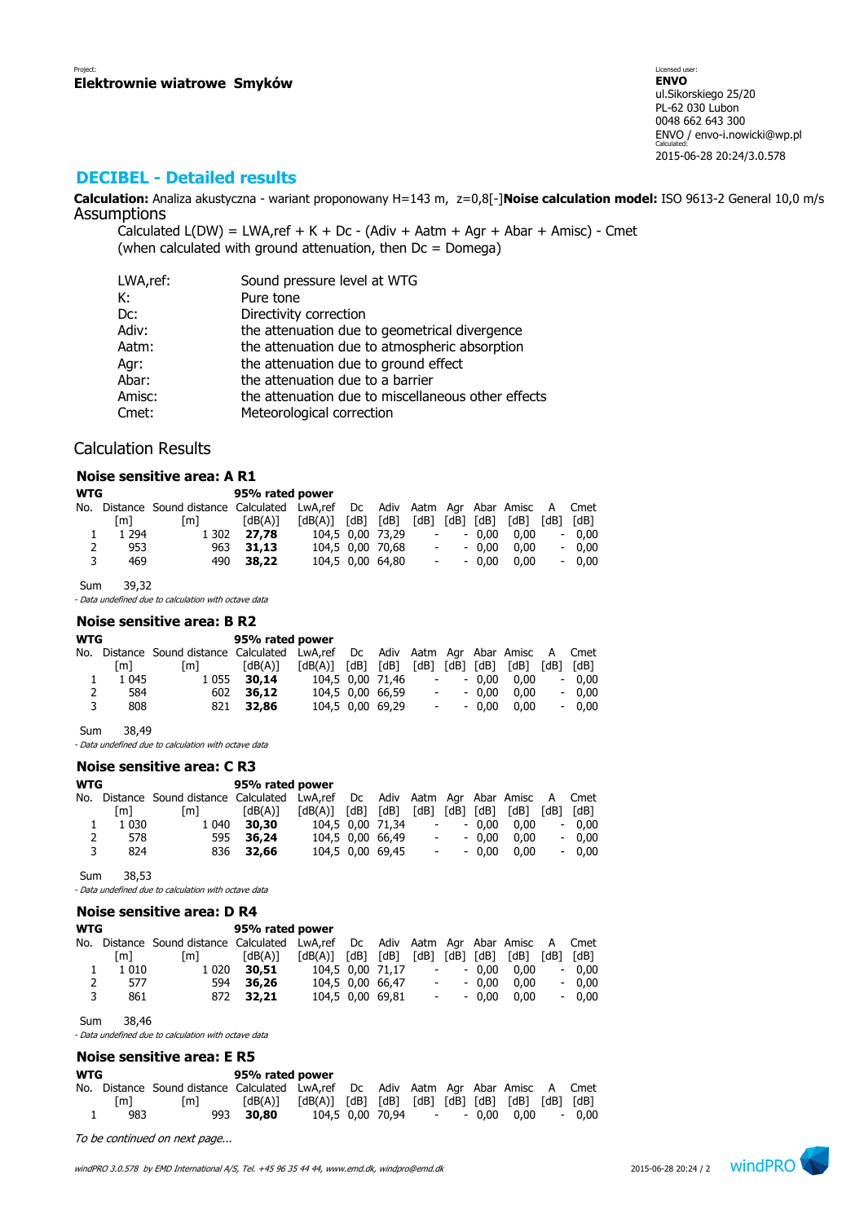# **DECIBEL - Detailed results**

**Calculation:** Analiza akustyczna - wariant proponowany H=143 m, z=0,8[-]**Noise calculation model:** ISO 9613-2 General 10,0 m/s Assumptions

Calculated  $L(DW) = LWA$ , ref + K + Dc - (Adiv + Aatm + Agr + Abar + Amisc) - Cmet (when calculated with ground attenuation, then  $Dc = D$ omega)

| LWA,ref: | Sound pressure level at WTG                        |
|----------|----------------------------------------------------|
| К:       | Pure tone                                          |
| Dc:      | Directivity correction                             |
| Adiv:    | the attenuation due to geometrical divergence      |
| Aatm:    | the attenuation due to atmospheric absorption      |
| Agr:     | the attenuation due to ground effect               |
| Abar:    | the attenuation due to a barrier                   |
| Amisc:   | the attenuation due to miscellaneous other effects |
| Cmet:    | Meteorological correction                          |

### Calculation Results

#### **Noise sensitive area: A R1**

| <b>WTG</b> |         |                                                                                   | 95% rated power |                         |                  |                |                  |         |      |      |         |
|------------|---------|-----------------------------------------------------------------------------------|-----------------|-------------------------|------------------|----------------|------------------|---------|------|------|---------|
|            |         | No. Distance Sound distance Calculated LwA,ref Dc Adiv Aatm Agr Abar Amisc A Cmet |                 |                         |                  |                |                  |         |      |      |         |
|            | [m]     | [m]                                                                               | [dB(A)]         | $[dB(A)]$ $[dB]$ $[dB]$ |                  | [dB] [dB] [dB] |                  |         | [dB] | [dB] | [dB]    |
|            | 1 2 9 4 | 1 302                                                                             | 27.78           |                         | 104.5 0.00 73.29 |                | $\sim$ 100 $\mu$ | $-0.00$ | 0.00 |      | $-0.00$ |
| 2          | 953     |                                                                                   | 963 31.13       |                         | 104.5 0.00 70.68 |                | $\sim 100$       | $-0.00$ | 0.00 |      | $-0.00$ |
| 3          | 469     |                                                                                   | 490 38.22       |                         | 104.5 0.00 64.80 |                | $\sim 100$       | $-0.00$ | 0.00 |      | $-0.00$ |

Sum 39,32

- Data undefined due to calculation with octave data

#### **Noise sensitive area: B R2**

| <b>WTG</b> |         |                                                                                   | 95% rated power |                         |                  |                          |            |                |      |           |
|------------|---------|-----------------------------------------------------------------------------------|-----------------|-------------------------|------------------|--------------------------|------------|----------------|------|-----------|
|            |         | No. Distance Sound distance Calculated LwA,ref Dc Adiv Aatm Agr Abar Amisc A Cmet |                 |                         |                  |                          |            |                |      |           |
|            | [m]     | [m]                                                                               | [dB(A)]         | $[dB(A)]$ $[dB]$ $[dB]$ |                  |                          |            | [dB] [dB] [dB] | [dB] | [dB] [dB] |
|            | 1 0 4 5 | 1 0 5 5                                                                           | 30,14           |                         | 104.5 0.00 71.46 | $\overline{\phantom{a}}$ |            | $-0.00$        | 0.00 | $-0.00$   |
| 2          | 584     |                                                                                   | 602 36.12       |                         | 104.5 0.00 66.59 | $\overline{\phantom{a}}$ |            | $-0.00$        | 0.00 | $-0.00$   |
| 3          | 808     |                                                                                   | 821 32.86       |                         | 104,5 0,00 69,29 |                          | $\sim 100$ | $-0.00$        | 0.00 | $-0.00$   |
|            |         |                                                                                   |                 |                         |                  |                          |            |                |      |           |

Sum 38,49

- Data undefined due to calculation with octave data

### **Noise sensitive area: C R3**

| <b>WTG</b> |         |                                                                                   | 95% rated power |                                                             |                  |            |         |                                    |         |
|------------|---------|-----------------------------------------------------------------------------------|-----------------|-------------------------------------------------------------|------------------|------------|---------|------------------------------------|---------|
|            |         | No. Distance Sound distance Calculated LwA,ref Dc Adiv Aatm Agr Abar Amisc A Cmet |                 |                                                             |                  |            |         |                                    |         |
|            | [m]     | [m]                                                                               | [dB(A)]         | $\lceil dB(A) \rceil$ $\lceil dB \rceil$ $\lceil dB \rceil$ |                  |            |         | $[dB]$ $[dB]$ $[dB]$ $[dB]$ $[dB]$ | [dB]    |
| 1          | 1 0 3 0 | 1 040                                                                             | 30,30           |                                                             | 104,5 0,00 71,34 | $\sim 100$ | $-0.00$ | 0.00                               | $-0.00$ |
| 2          | 578     |                                                                                   | 595 36,24       |                                                             | 104,5 0,00 66,49 | $\sim 100$ | $-0.00$ | 0.00                               | $-0.00$ |
| 3          | 824     |                                                                                   | 836 32.66       |                                                             | 104,5 0,00 69,45 | $\sim 100$ | $-0.00$ | 0.00                               | $-0.00$ |
|            |         |                                                                                   |                 |                                                             |                  |            |         |                                    |         |

Sum 38,53

- Data undefined due to calculation with octave data

|            |         | Noise sensitive area: D R4                                                   |                 |         |      |                  |                          |                 |         |      |      |         |
|------------|---------|------------------------------------------------------------------------------|-----------------|---------|------|------------------|--------------------------|-----------------|---------|------|------|---------|
| <b>WTG</b> |         |                                                                              | 95% rated power |         |      |                  |                          |                 |         |      |      |         |
|            |         | No. Distance Sound distance Calculated LwA,ref Dc Adiv Aatm Agr Abar Amisc A |                 |         |      |                  |                          |                 |         |      |      | Cmet    |
|            | [m]     | [m]                                                                          | (dB(A)[         | [dB(A)] | [dB] | [dB]             | 「dB]                     | [dB]            | [dB]    | [dB] | [dB] | [dB]    |
|            | 1 0 1 0 | 1 0 2 0                                                                      | 30,51           |         |      | 104,5 0,00 71,17 |                          |                 | $-0.00$ | 0.00 |      | $-0,00$ |
| 2          | 577     | 594                                                                          | 36,26           |         |      | 104,5 0,00 66,47 | $\overline{\phantom{a}}$ |                 | $-0.00$ | 0.00 |      | $-0,00$ |
| 3          | 861     | 872                                                                          | 32,21           |         |      | 104,5 0,00 69,81 |                          | $\sim$ 10 $\pm$ | $-0.00$ | 0.00 |      | $-0,00$ |
|            |         |                                                                              |                 |         |      |                  |                          |                 |         |      |      |         |

Sum 38,46

- Data undefined due to calculation with octave data

# **Noise sensitive area: E R5**

| WTG |     |                                                                                   | 95% rated power                                                                                                                                                                  |  |  |  |                                |         |
|-----|-----|-----------------------------------------------------------------------------------|----------------------------------------------------------------------------------------------------------------------------------------------------------------------------------|--|--|--|--------------------------------|---------|
|     |     | No. Distance Sound distance Calculated LwA,ref Dc Adiv Aatm Agr Abar Amisc A Cmet |                                                                                                                                                                                  |  |  |  |                                |         |
|     | [m] | l m I                                                                             | $\lceil dB(A) \rceil$ $\lceil dB(A) \rceil$ $\lceil dB \rceil$ $\lceil dB \rceil$ $\lceil dB \rceil$ $\lceil dB \rceil$ $\lceil dB \rceil$ $\lceil dB \rceil$ $\lceil dB \rceil$ |  |  |  |                                |         |
|     | 983 |                                                                                   | 993 30.80                                                                                                                                                                        |  |  |  | 104.5 0.00 70.94 - - 0.00 0.00 | $-0.00$ |

To be continued on next page...

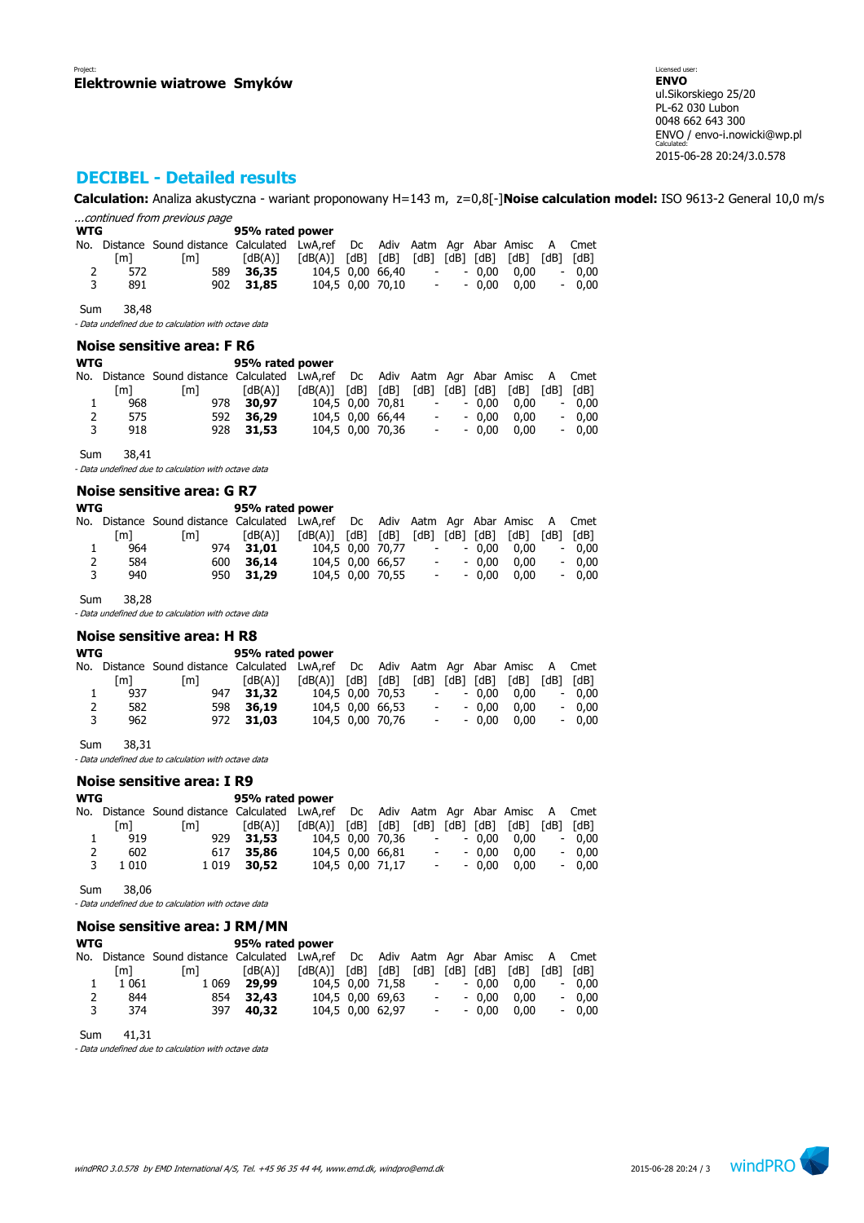# **DECIBEL - Detailed results**

**Calculation:** Analiza akustyczna - wariant proponowany H=143 m, z=0,8[-]**Noise calculation model:** ISO 9613-2 General 10,0 m/s ...continued from previous page

| <b>WTG</b> |     |                                                                                   | 95% rated power |                         |                  |                    |                     |      |         |
|------------|-----|-----------------------------------------------------------------------------------|-----------------|-------------------------|------------------|--------------------|---------------------|------|---------|
|            |     | No. Distance Sound distance Calculated LwA,ref Dc Adiv Aatm Agr Abar Amisc A Cmet |                 |                         |                  |                    |                     |      |         |
|            | [m] | [m]                                                                               | [dB(A)]         | $[dB(A)]$ $[dB]$ $[dB]$ |                  |                    | [dB] [dB] [dB] [dB] | rdB1 | [dB]    |
| 2          | 572 | 589                                                                               | 36,35           |                         | 104.5 0.00 66.40 | $\sim 100$         | $-0.00$ $0.00$      |      | $-0.00$ |
| 3          | 891 |                                                                                   | 902 31.85       |                         | 104.5 0.00 70.10 | <b>All Control</b> | $-0.00$ $0.00$      |      | $-0.00$ |

Sum 38,48

- Data undefined due to calculation with octave data

### **Noise sensitive area: F R6**

| WTG |     |                                                                               | 95% rated power |         |               |                  |                          |            |                |      |      |         |
|-----|-----|-------------------------------------------------------------------------------|-----------------|---------|---------------|------------------|--------------------------|------------|----------------|------|------|---------|
| No. |     | Distance Sound distance Calculated LwA,ref Dc Adiv Aatm Agr Abar Amisc A Cmet |                 |         |               |                  |                          |            |                |      |      |         |
|     | [m] | [m]                                                                           | [dB(A)]         | [dB(A)] | $[dB]$ $[dB]$ |                  |                          |            | [dB] [dB] [dB] | [dB] | [dB] | [dB]    |
| ı   | 968 |                                                                               | 978 30.97       |         |               | 104,5 0,00 70,81 |                          | $\sim 100$ | $-0.00$        | 0.00 |      | $-0.00$ |
| 2   | 575 | 592                                                                           | 36,29           |         |               | 104.5 0.00 66.44 |                          | $\sim 100$ | $-0.00$        | 0.00 |      | $-0.00$ |
| 3   | 918 |                                                                               | 928 31.53       |         |               | 104.5 0.00 70.36 | $\overline{\phantom{a}}$ |            | $-0.00$        | 0.00 |      | $-0.00$ |
|     |     |                                                                               |                 |         |               |                  |                          |            |                |      |      |         |

Sum 38,41

- Data undefined due to calculation with octave data

#### **Noise sensitive area: G R7**

| [m] | [m] | [dB(A)]    |                         |                 |                          |                                                          |                                |      | [dB]                                                         | [dB]                                                                                                          |
|-----|-----|------------|-------------------------|-----------------|--------------------------|----------------------------------------------------------|--------------------------------|------|--------------------------------------------------------------|---------------------------------------------------------------------------------------------------------------|
| 964 |     | 31.01      |                         |                 | $\overline{\phantom{a}}$ |                                                          |                                | 0.00 | $\overline{\phantom{a}}$                                     | 0.00                                                                                                          |
| 584 |     | 36,14      |                         |                 |                          |                                                          |                                | 0.00 | $\overline{\phantom{a}}$                                     | 0.00                                                                                                          |
| 940 |     |            |                         |                 |                          |                                                          |                                | 0.00 |                                                              | 0.00                                                                                                          |
|     |     | <b>WTG</b> | 974<br>600<br>950 31.29 | 95% rated power | $[dB(A)]$ $[dB]$ $[dB]$  | 104.5 0.00 70.77<br>104.5 0.00 66.57<br>104.5 0.00 70.55 | $\sim$ 100 $\mu$<br>$\sim 100$ |      | $[dB]$ $[dB]$ $[dB]$ $[dB]$<br>$-0.00$<br>$-0.00$<br>$-0.00$ | No. Distance Sound distance Calculated LwA,ref Dc Adiv Aatm Agr Abar Amisc A Cmet<br>$\overline{\phantom{0}}$ |

Sum 38,28

- Data undefined due to calculation with octave data

### **Noise sensitive area: H R8**

| WTG |     |                                                                                   | 95% rated power |                   |  |                  |  |            |         |                                    |         |
|-----|-----|-----------------------------------------------------------------------------------|-----------------|-------------------|--|------------------|--|------------|---------|------------------------------------|---------|
|     |     | No. Distance Sound-distance Calculated LwA,ref Dc Adiv Aatm Agr Abar Amisc A Cmet |                 |                   |  |                  |  |            |         |                                    |         |
|     | [m] | [m]                                                                               | [dB(A)]         | [dB(A)] [dB] [dB] |  |                  |  |            |         | $[dB]$ $[dB]$ $[dB]$ $[dB]$ $[dB]$ | [dB]    |
|     | 937 | 947                                                                               | 31,32           |                   |  | 104.5 0.00 70.53 |  | $\sim 100$ | $-0.00$ | 0.00                               | $-0.00$ |
| 2   | 582 |                                                                                   | 598 36.19       |                   |  | 104.5 0.00 66.53 |  | $\sim 100$ | $-0.00$ | 0.00                               | $-0.00$ |
| 3   | 962 |                                                                                   | 972 31.03       |                   |  | 104,5 0,00 70,76 |  | $\sim 100$ | $-0.00$ | 0.00                               | $-0,00$ |

Sum 38,31

- Data undefined due to calculation with octave data

#### **Noise sensitive area: I R9**

| WTG |         |                                                                               | 95% rated power |                         |  |                  |      |            |           |      |      |         |
|-----|---------|-------------------------------------------------------------------------------|-----------------|-------------------------|--|------------------|------|------------|-----------|------|------|---------|
| No. |         | Distance Sound distance Calculated LwA,ref Dc Adiv Aatm Agr Abar Amisc A Cmet |                 |                         |  |                  |      |            |           |      |      |         |
|     | [m]     | $\lceil m \rceil$                                                             | [dB(A)]         | $[dB(A)]$ $[dB]$ $[dB]$ |  |                  | [dB] |            | [dB] [dB] | [dB] | [dB] | [dB]    |
|     | 919     |                                                                               | 929 31.53       | 104.5 0.00 70.36        |  |                  |      | $\sim 100$ | $-0.00$   | 0.00 |      | $-0.00$ |
| 2   | 602     | 617                                                                           | 35,86           |                         |  | 104,5 0,00 66,81 |      | $\sim 100$ | $-0.00$   | 0.00 |      | $-0.00$ |
| 3   | 1 0 1 0 |                                                                               | 1 0 19 30.52    |                         |  | 104,5 0,00 71,17 |      | $\sim 100$ | $-0.00$   | 0.00 |      | $-0.00$ |
|     |         |                                                                               |                 |                         |  |                  |      |            |           |      |      |         |

Sum 38,06

- Data undefined due to calculation with octave data

### **Noise sensitive area: J RM/MN**

| <b>WTG</b> |         | 95% rated power                                                                   |         |                                                             |                  |                |                          |         |      |       |         |
|------------|---------|-----------------------------------------------------------------------------------|---------|-------------------------------------------------------------|------------------|----------------|--------------------------|---------|------|-------|---------|
|            |         | No. Distance Sound distance Calculated LwA,ref Dc Adiv Aatm Agr Abar Amisc A Cmet |         |                                                             |                  |                |                          |         |      |       |         |
|            | [m]     | [m]                                                                               | [dB(A)] | $\lceil dB(A) \rceil$ $\lceil dB \rceil$ $\lceil dB \rceil$ |                  | [dB] [dB] [dB] |                          |         | rdB1 | [dB]  | [dB]    |
|            | 1 0 6 1 | 1 0 6 9                                                                           | 29,99   |                                                             | 104,5 0,00 71,58 |                | $\sim 100$               | $-0.00$ | 0.00 | $ \,$ | 0.00    |
|            | 844     | 854                                                                               | 32,43   |                                                             | 104,5 0,00 69,63 |                | <b>All Control</b>       | $-0.00$ | 0.00 |       | $-0.00$ |
| २          | 374     | 397                                                                               | 40,32   |                                                             | 104.5 0.00 62.97 |                | $\mathcal{L}_{\rm{max}}$ | $-0.00$ | 0.00 |       | $-0.00$ |

Sum 41,31

- Data undefined due to calculation with octave data

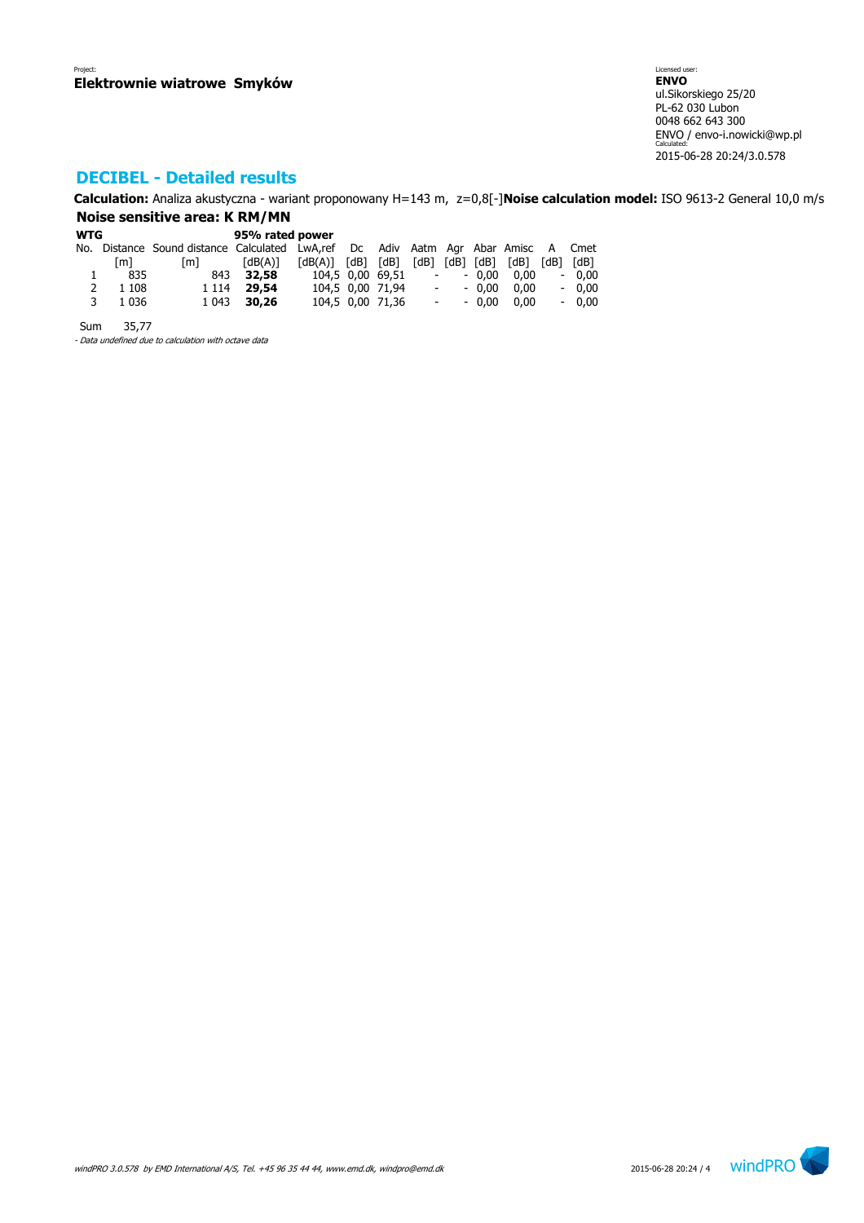# **DECIBEL - Detailed results**

**Calculation:** Analiza akustyczna - wariant proponowany H=143 m, z=0,8[-]**Noise calculation model:** ISO 9613-2 General 10,0 m/s **Noise sensitive area: K RM/MN**

| <b>WTG</b> |         | 95% rated power                                                                   |                       |                         |  |                  |            |         |                     |      |         |
|------------|---------|-----------------------------------------------------------------------------------|-----------------------|-------------------------|--|------------------|------------|---------|---------------------|------|---------|
|            |         | No. Distance Sound distance Calculated LwA,ref Dc Adiv Aatm Agr Abar Amisc A Cmet |                       |                         |  |                  |            |         |                     |      |         |
|            | [m]     | $\lceil m \rceil$                                                                 | $\lceil dB(A) \rceil$ | $[dB(A)]$ $[dB]$ $[dB]$ |  |                  |            |         | [dB] [dB] [dB] [dB] | [dB] | [dB]    |
|            | 835     | 843                                                                               | 32,58                 | 104,5 0,00 69,51 -      |  |                  |            | $-0.00$ | 0.00                |      | $-0,00$ |
| 2          | 1 1 0 8 | 1 1 1 4                                                                           | 29,54                 |                         |  | 104,5 0,00 71,94 | $\sim 100$ | $-0.00$ | 0.00                |      | $-0.00$ |
| 3          | 1 0 3 6 | 1 0 4 3                                                                           | 30,26                 |                         |  | 104,5 0,00 71,36 | $\sim 100$ | $-0.00$ | 0.00                |      | $-0,00$ |
|            |         |                                                                                   |                       |                         |  |                  |            |         |                     |      |         |

Sum 35,77

- Data undefined due to calculation with octave data

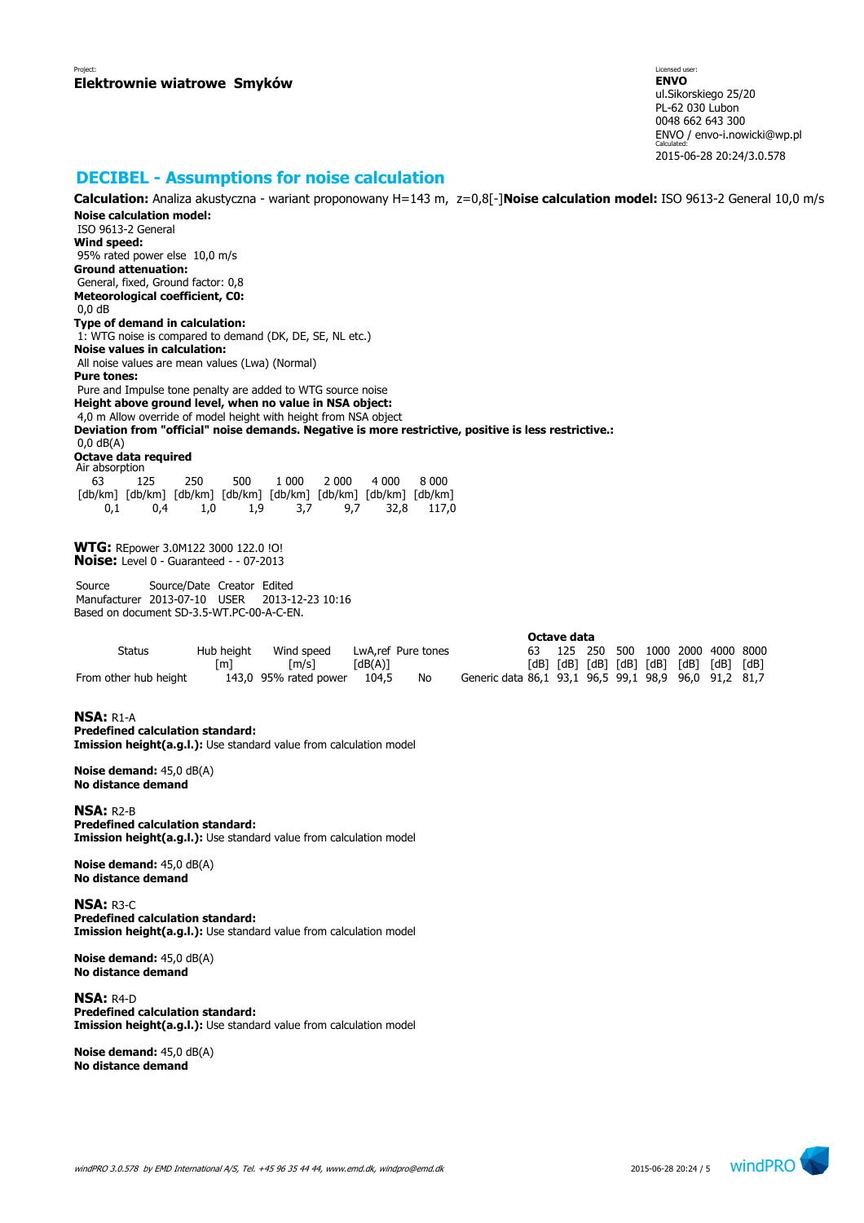## **DECIBEL - Assumptions for noise calculation**

**Calculation:** Analiza akustyczna - wariant proponowany H=143 m, z=0,8[-]**Noise calculation model:** ISO 9613-2 General 10,0 m/s **Noise calculation model:** ISO 9613-2 General **Wind speed:** 95% rated power else 10,0 m/s **Ground attenuation:** General, fixed, Ground factor: 0,8 **Meteorological coefficient, C0:** 0,0 dB **Type of demand in calculation:** 1: WTG noise is compared to demand (DK, DE, SE, NL etc.) **Noise values in calculation:** All noise values are mean values (Lwa) (Normal) **Pure tones:** Pure and Impulse tone penalty are added to WTG source noise **Height above ground level, when no value in NSA object:** 4,0 m Allow override of model height with height from NSA object **Deviation from "official" noise demands. Negative is more restrictive, positive is less restrictive.:** 0,0 dB(A) **Octave data required** Air absorption 63 125 250 500 1 000 2 000 4 000 8 000 [db/km] [db/km] [db/km] [db/km] [db/km] [db/km] [db/km] [db/km] 0,1 0,4 1,0 1,9 3,7 9,7 32,8 117,0 **WTG:** REpower 3.0M122 3000 122.0 !O! **Noise:** Level 0 - Guaranteed - - 07-2013 Source Source/Date Creator Edited Manufacturer 2013-07-10 USER 2013-12-23 10:16 Based on document SD-3.5-WT.PC-00-A-C-EN. **Octave data** Status Hub height Wind speed LwA,ref Pure tones 63 125 250 500 1000 2000 4000 8000 [m] [m/s] [dB(A)] [dB] [dB] [dB] [dB] [dB] [dB] [dB] [dB] From other hub height 143,0 95% rated power 104,5 No Generic data 86,1 93,1 96,5 99,1 98,9 96,0 91,2 81,7 **NSA:** R1-A **Predefined calculation standard: Imission height(a.g.l.):** Use standard value from calculation model **Noise demand:** 45,0 dB(A) **No distance demand NSA:** R2-B **Predefined calculation standard: Imission height(a.g.l.):** Use standard value from calculation model **Noise demand:** 45,0 dB(A) **No distance demand NSA:** R3-C **Predefined calculation standard: Imission height(a.g.l.):** Use standard value from calculation model

**Noise demand:** 45,0 dB(A) **No distance demand**

**NSA:** R4-D **Predefined calculation standard: Imission height(a.g.l.):** Use standard value from calculation model

**Noise demand:** 45,0 dB(A) **No distance demand**